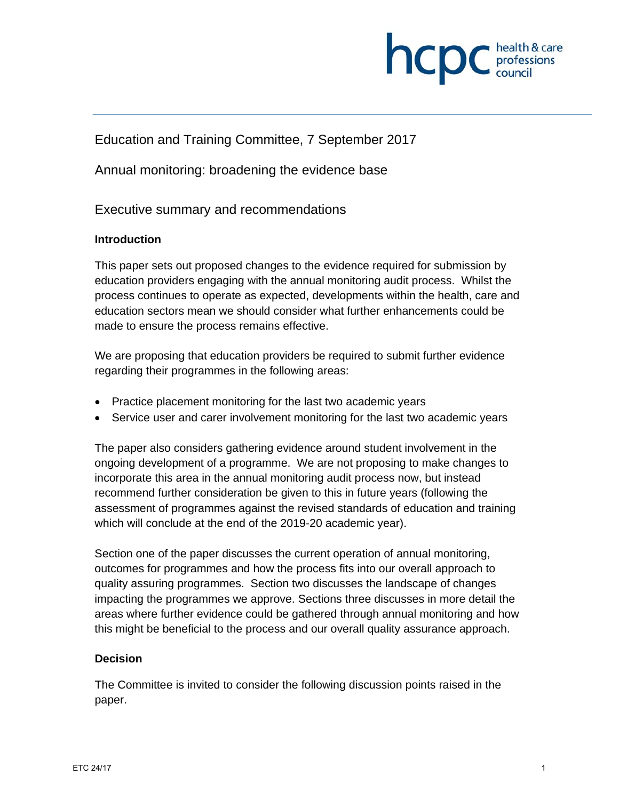

# Education and Training Committee, 7 September 2017

Annual monitoring: broadening the evidence base

# Executive summary and recommendations

## **Introduction**

This paper sets out proposed changes to the evidence required for submission by education providers engaging with the annual monitoring audit process. Whilst the process continues to operate as expected, developments within the health, care and education sectors mean we should consider what further enhancements could be made to ensure the process remains effective.

We are proposing that education providers be required to submit further evidence regarding their programmes in the following areas:

- Practice placement monitoring for the last two academic years
- Service user and carer involvement monitoring for the last two academic years

The paper also considers gathering evidence around student involvement in the ongoing development of a programme. We are not proposing to make changes to incorporate this area in the annual monitoring audit process now, but instead recommend further consideration be given to this in future years (following the assessment of programmes against the revised standards of education and training which will conclude at the end of the 2019-20 academic year).

Section one of the paper discusses the current operation of annual monitoring, outcomes for programmes and how the process fits into our overall approach to quality assuring programmes. Section two discusses the landscape of changes impacting the programmes we approve. Sections three discusses in more detail the areas where further evidence could be gathered through annual monitoring and how this might be beneficial to the process and our overall quality assurance approach.

### **Decision**

The Committee is invited to consider the following discussion points raised in the paper.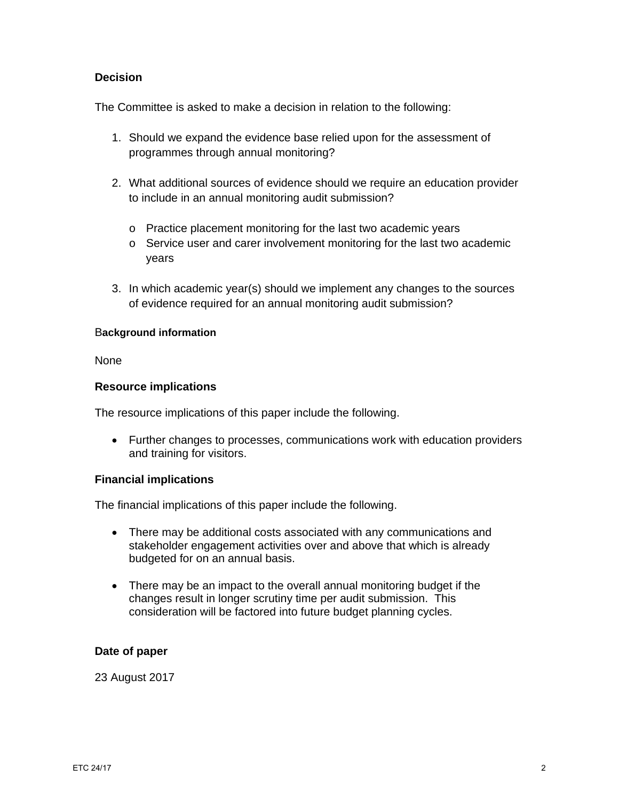## **Decision**

The Committee is asked to make a decision in relation to the following:

- 1. Should we expand the evidence base relied upon for the assessment of programmes through annual monitoring?
- 2. What additional sources of evidence should we require an education provider to include in an annual monitoring audit submission?
	- o Practice placement monitoring for the last two academic years
	- $\circ$  Service user and carer involvement monitoring for the last two academic years
- 3. In which academic year(s) should we implement any changes to the sources of evidence required for an annual monitoring audit submission?

#### B**ackground information**

None

#### **Resource implications**

The resource implications of this paper include the following.

 Further changes to processes, communications work with education providers and training for visitors.

### **Financial implications**

The financial implications of this paper include the following.

- There may be additional costs associated with any communications and stakeholder engagement activities over and above that which is already budgeted for on an annual basis.
- There may be an impact to the overall annual monitoring budget if the changes result in longer scrutiny time per audit submission. This consideration will be factored into future budget planning cycles.

### **Date of paper**

23 August 2017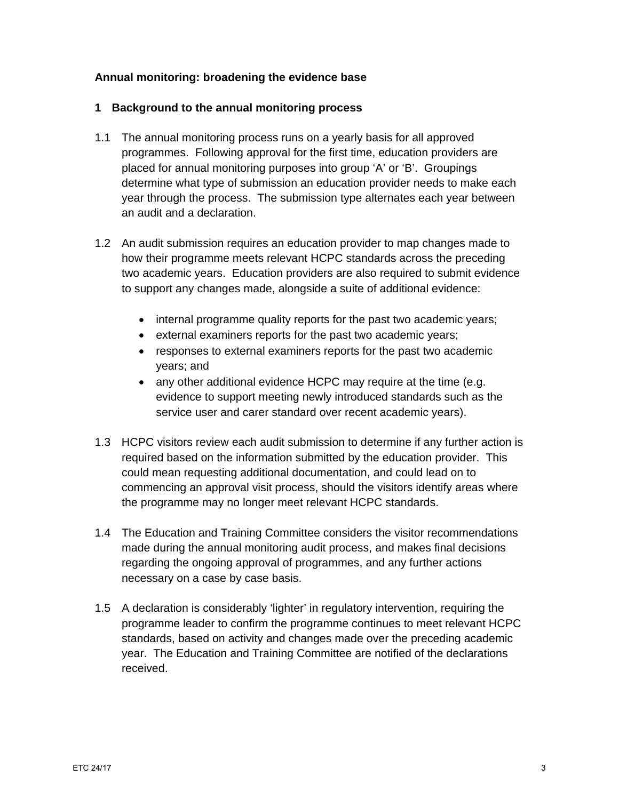## **Annual monitoring: broadening the evidence base**

### **1 Background to the annual monitoring process**

- 1.1 The annual monitoring process runs on a yearly basis for all approved programmes. Following approval for the first time, education providers are placed for annual monitoring purposes into group 'A' or 'B'. Groupings determine what type of submission an education provider needs to make each year through the process. The submission type alternates each year between an audit and a declaration.
- 1.2 An audit submission requires an education provider to map changes made to how their programme meets relevant HCPC standards across the preceding two academic years. Education providers are also required to submit evidence to support any changes made, alongside a suite of additional evidence:
	- internal programme quality reports for the past two academic years;
	- external examiners reports for the past two academic years;
	- responses to external examiners reports for the past two academic years; and
	- any other additional evidence HCPC may require at the time (e.g. evidence to support meeting newly introduced standards such as the service user and carer standard over recent academic years).
- 1.3 HCPC visitors review each audit submission to determine if any further action is required based on the information submitted by the education provider. This could mean requesting additional documentation, and could lead on to commencing an approval visit process, should the visitors identify areas where the programme may no longer meet relevant HCPC standards.
- 1.4 The Education and Training Committee considers the visitor recommendations made during the annual monitoring audit process, and makes final decisions regarding the ongoing approval of programmes, and any further actions necessary on a case by case basis.
- 1.5 A declaration is considerably 'lighter' in regulatory intervention, requiring the programme leader to confirm the programme continues to meet relevant HCPC standards, based on activity and changes made over the preceding academic year. The Education and Training Committee are notified of the declarations received.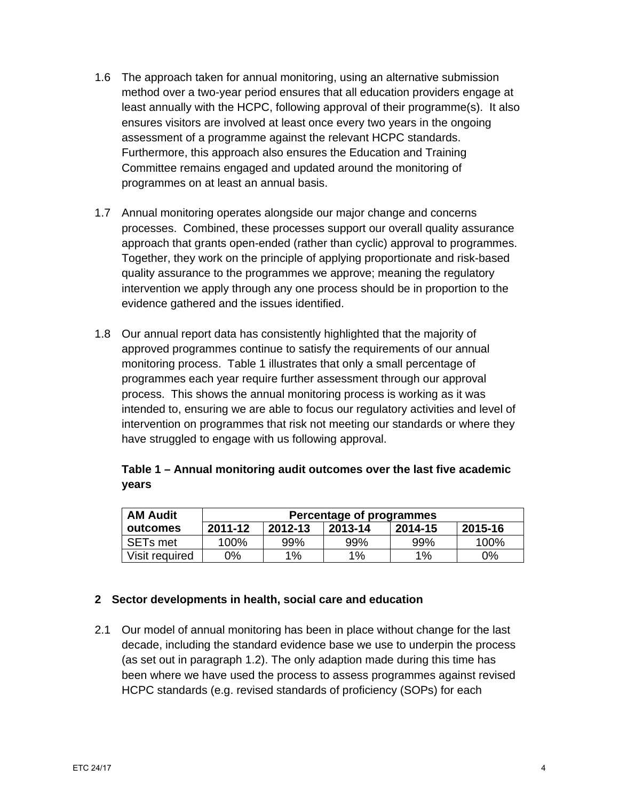- 1.6 The approach taken for annual monitoring, using an alternative submission method over a two-year period ensures that all education providers engage at least annually with the HCPC, following approval of their programme(s). It also ensures visitors are involved at least once every two years in the ongoing assessment of a programme against the relevant HCPC standards. Furthermore, this approach also ensures the Education and Training Committee remains engaged and updated around the monitoring of programmes on at least an annual basis.
- 1.7 Annual monitoring operates alongside our major change and concerns processes. Combined, these processes support our overall quality assurance approach that grants open-ended (rather than cyclic) approval to programmes. Together, they work on the principle of applying proportionate and risk-based quality assurance to the programmes we approve; meaning the regulatory intervention we apply through any one process should be in proportion to the evidence gathered and the issues identified.
- 1.8 Our annual report data has consistently highlighted that the majority of approved programmes continue to satisfy the requirements of our annual monitoring process. Table 1 illustrates that only a small percentage of programmes each year require further assessment through our approval process. This shows the annual monitoring process is working as it was intended to, ensuring we are able to focus our regulatory activities and level of intervention on programmes that risk not meeting our standards or where they have struggled to engage with us following approval.

| Table 1 – Annual monitoring audit outcomes over the last five academic |  |
|------------------------------------------------------------------------|--|
| years                                                                  |  |

| <b>AM Audit</b> | Percentage of programmes |         |         |         |         |  |
|-----------------|--------------------------|---------|---------|---------|---------|--|
| outcomes        | 2011-12                  | 2012-13 | 2013-14 | 2014-15 | 2015-16 |  |
| <b>SETs met</b> | 100%                     | 99%     | 99%     | 99%     | 100%    |  |
| Visit required  | ገ%                       | 1%      | 1%      | 1%      | $0\%$   |  |

### **2 Sector developments in health, social care and education**

2.1 Our model of annual monitoring has been in place without change for the last decade, including the standard evidence base we use to underpin the process (as set out in paragraph 1.2). The only adaption made during this time has been where we have used the process to assess programmes against revised HCPC standards (e.g. revised standards of proficiency (SOPs) for each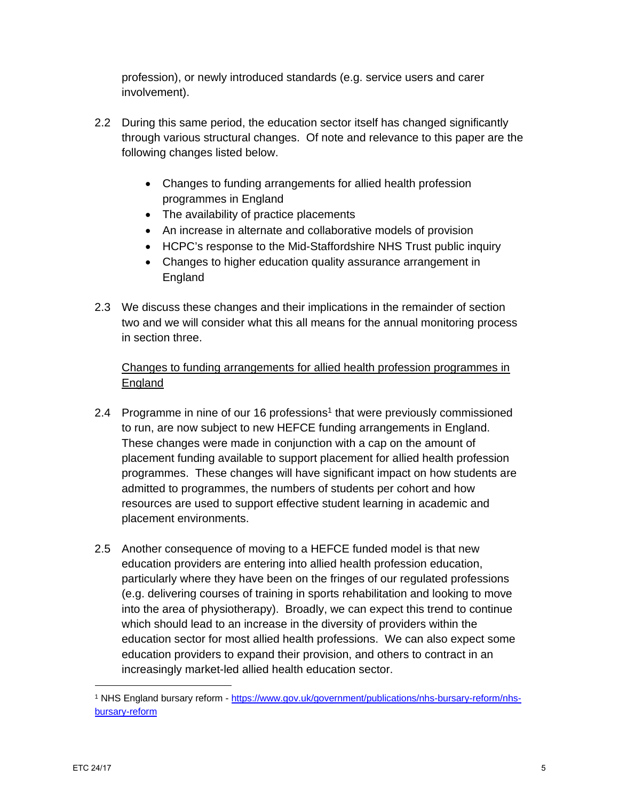profession), or newly introduced standards (e.g. service users and carer involvement).

- 2.2 During this same period, the education sector itself has changed significantly through various structural changes. Of note and relevance to this paper are the following changes listed below.
	- Changes to funding arrangements for allied health profession programmes in England
	- The availability of practice placements
	- An increase in alternate and collaborative models of provision
	- HCPC's response to the Mid-Staffordshire NHS Trust public inquiry
	- Changes to higher education quality assurance arrangement in England
- 2.3 We discuss these changes and their implications in the remainder of section two and we will consider what this all means for the annual monitoring process in section three.

# Changes to funding arrangements for allied health profession programmes in **England**

- 2.4 Programme in nine of our 16 professions<sup>1</sup> that were previously commissioned to run, are now subject to new HEFCE funding arrangements in England. These changes were made in conjunction with a cap on the amount of placement funding available to support placement for allied health profession programmes. These changes will have significant impact on how students are admitted to programmes, the numbers of students per cohort and how resources are used to support effective student learning in academic and placement environments.
- 2.5 Another consequence of moving to a HEFCE funded model is that new education providers are entering into allied health profession education, particularly where they have been on the fringes of our regulated professions (e.g. delivering courses of training in sports rehabilitation and looking to move into the area of physiotherapy). Broadly, we can expect this trend to continue which should lead to an increase in the diversity of providers within the education sector for most allied health professions. We can also expect some education providers to expand their provision, and others to contract in an increasingly market-led allied health education sector.

<sup>1</sup> NHS England bursary reform - https://www.gov.uk/government/publications/nhs-bursary-reform/nhsbursary-reform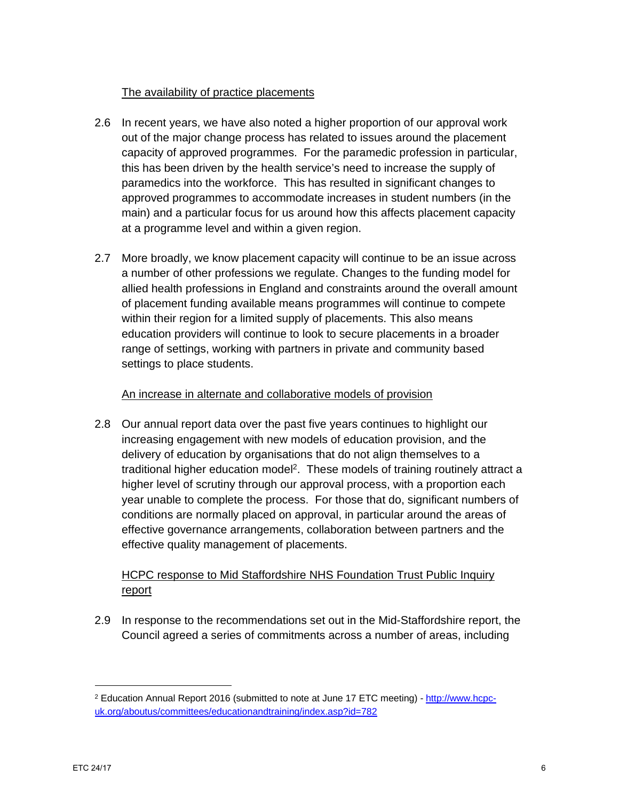## The availability of practice placements

- 2.6 In recent years, we have also noted a higher proportion of our approval work out of the major change process has related to issues around the placement capacity of approved programmes. For the paramedic profession in particular, this has been driven by the health service's need to increase the supply of paramedics into the workforce. This has resulted in significant changes to approved programmes to accommodate increases in student numbers (in the main) and a particular focus for us around how this affects placement capacity at a programme level and within a given region.
- 2.7 More broadly, we know placement capacity will continue to be an issue across a number of other professions we regulate. Changes to the funding model for allied health professions in England and constraints around the overall amount of placement funding available means programmes will continue to compete within their region for a limited supply of placements. This also means education providers will continue to look to secure placements in a broader range of settings, working with partners in private and community based settings to place students.

## An increase in alternate and collaborative models of provision

2.8 Our annual report data over the past five years continues to highlight our increasing engagement with new models of education provision, and the delivery of education by organisations that do not align themselves to a traditional higher education model<sup>2</sup>. These models of training routinely attract a higher level of scrutiny through our approval process, with a proportion each year unable to complete the process. For those that do, significant numbers of conditions are normally placed on approval, in particular around the areas of effective governance arrangements, collaboration between partners and the effective quality management of placements.

# HCPC response to Mid Staffordshire NHS Foundation Trust Public Inquiry report

2.9 In response to the recommendations set out in the Mid-Staffordshire report, the Council agreed a series of commitments across a number of areas, including

<sup>2</sup> Education Annual Report 2016 (submitted to note at June 17 ETC meeting) - http://www.hcpcuk.org/aboutus/committees/educationandtraining/index.asp?id=782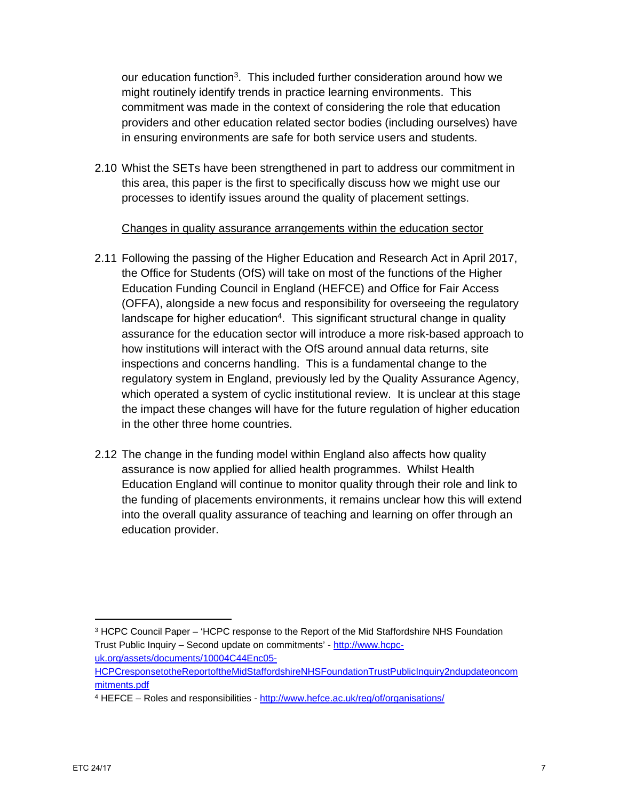our education function3. This included further consideration around how we might routinely identify trends in practice learning environments. This commitment was made in the context of considering the role that education providers and other education related sector bodies (including ourselves) have in ensuring environments are safe for both service users and students.

2.10 Whist the SETs have been strengthened in part to address our commitment in this area, this paper is the first to specifically discuss how we might use our processes to identify issues around the quality of placement settings.

### Changes in quality assurance arrangements within the education sector

- 2.11 Following the passing of the Higher Education and Research Act in April 2017, the Office for Students (OfS) will take on most of the functions of the Higher Education Funding Council in England (HEFCE) and Office for Fair Access (OFFA), alongside a new focus and responsibility for overseeing the regulatory landscape for higher education<sup>4</sup>. This significant structural change in quality assurance for the education sector will introduce a more risk-based approach to how institutions will interact with the OfS around annual data returns, site inspections and concerns handling. This is a fundamental change to the regulatory system in England, previously led by the Quality Assurance Agency, which operated a system of cyclic institutional review. It is unclear at this stage the impact these changes will have for the future regulation of higher education in the other three home countries.
- 2.12 The change in the funding model within England also affects how quality assurance is now applied for allied health programmes. Whilst Health Education England will continue to monitor quality through their role and link to the funding of placements environments, it remains unclear how this will extend into the overall quality assurance of teaching and learning on offer through an education provider.

<sup>3</sup> HCPC Council Paper – 'HCPC response to the Report of the Mid Staffordshire NHS Foundation Trust Public Inquiry – Second update on commitments' - http://www.hcpcuk.org/assets/documents/10004C44Enc05-

HCPCresponsetotheReportoftheMidStaffordshireNHSFoundationTrustPublicInquiry2ndupdateoncom mitments.pdf

<sup>4</sup> HEFCE – Roles and responsibilities - http://www.hefce.ac.uk/reg/of/organisations/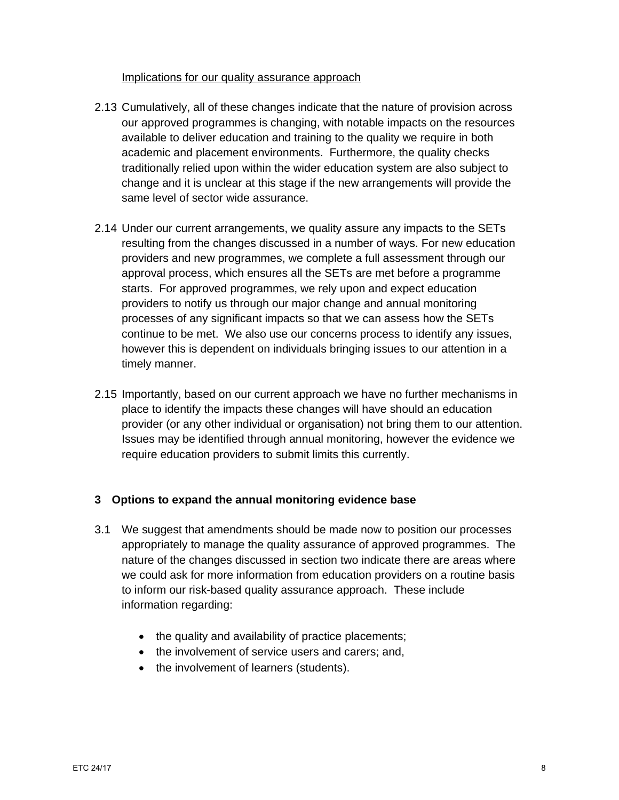#### Implications for our quality assurance approach

- 2.13 Cumulatively, all of these changes indicate that the nature of provision across our approved programmes is changing, with notable impacts on the resources available to deliver education and training to the quality we require in both academic and placement environments. Furthermore, the quality checks traditionally relied upon within the wider education system are also subject to change and it is unclear at this stage if the new arrangements will provide the same level of sector wide assurance.
- 2.14 Under our current arrangements, we quality assure any impacts to the SETs resulting from the changes discussed in a number of ways. For new education providers and new programmes, we complete a full assessment through our approval process, which ensures all the SETs are met before a programme starts. For approved programmes, we rely upon and expect education providers to notify us through our major change and annual monitoring processes of any significant impacts so that we can assess how the SETs continue to be met. We also use our concerns process to identify any issues, however this is dependent on individuals bringing issues to our attention in a timely manner.
- 2.15 Importantly, based on our current approach we have no further mechanisms in place to identify the impacts these changes will have should an education provider (or any other individual or organisation) not bring them to our attention. Issues may be identified through annual monitoring, however the evidence we require education providers to submit limits this currently.

### **3 Options to expand the annual monitoring evidence base**

- 3.1 We suggest that amendments should be made now to position our processes appropriately to manage the quality assurance of approved programmes. The nature of the changes discussed in section two indicate there are areas where we could ask for more information from education providers on a routine basis to inform our risk-based quality assurance approach. These include information regarding:
	- the quality and availability of practice placements;
	- the involvement of service users and carers; and,
	- the involvement of learners (students).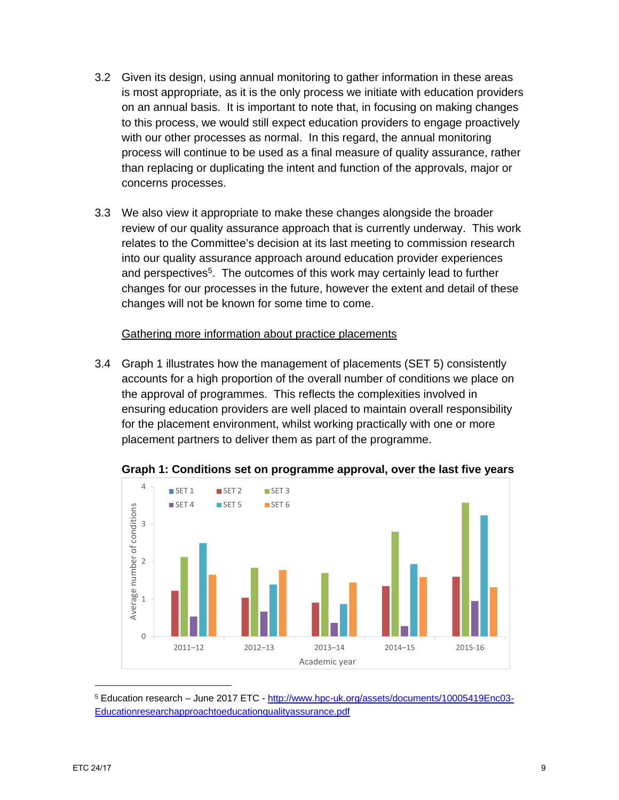- 3.2 Given its design, using annual monitoring to gather information in these areas is most appropriate, as it is the only process we initiate with education providers on an annual basis. It is important to note that, in focusing on making changes to this process, we would still expect education providers to engage proactively with our other processes as normal. In this regard, the annual monitoring process will continue to be used as a final measure of quality assurance, rather than replacing or duplicating the intent and function of the approvals, major or concerns processes.
- 3.3 We also view it appropriate to make these changes alongside the broader review of our quality assurance approach that is currently underway. This work relates to the Committee's decision at its last meeting to commission research into our quality assurance approach around education provider experiences and perspectives<sup>5</sup>. The outcomes of this work may certainly lead to further changes for our processes in the future, however the extent and detail of these changes will not be known for some time to come.

#### Gathering more information about practice placements

3.4 Graph 1 illustrates how the management of placements (SET 5) consistently accounts for a high proportion of the overall number of conditions we place on the approval of programmes. This reflects the complexities involved in ensuring education providers are well placed to maintain overall responsibility for the placement environment, whilst working practically with one or more placement partners to deliver them as part of the programme.



**Graph 1: Conditions set on programme approval, over the last five years** 

5 Education research – June 2017 ETC - http://www.hpc-uk.org/assets/documents/10005419Enc03- Educationresearchapproachtoeducationqualityassurance.pdf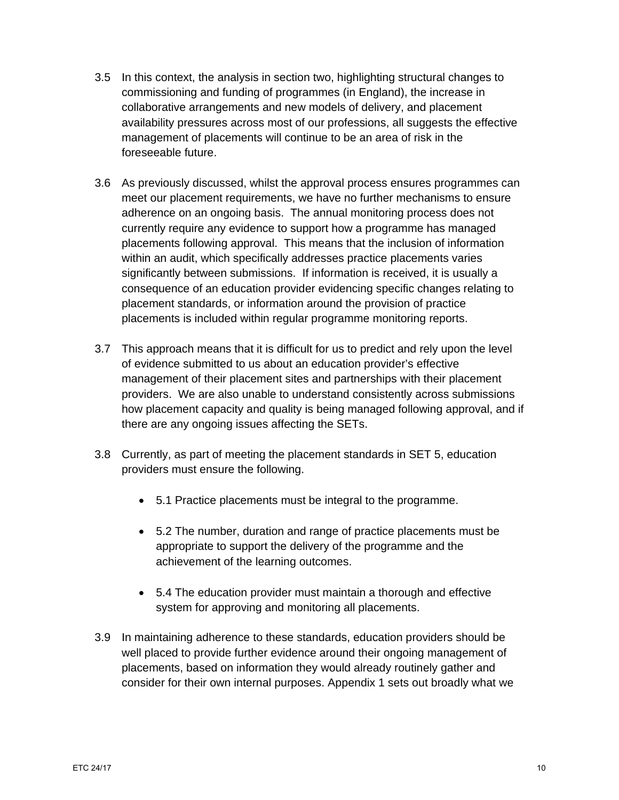- 3.5 In this context, the analysis in section two, highlighting structural changes to commissioning and funding of programmes (in England), the increase in collaborative arrangements and new models of delivery, and placement availability pressures across most of our professions, all suggests the effective management of placements will continue to be an area of risk in the foreseeable future.
- 3.6 As previously discussed, whilst the approval process ensures programmes can meet our placement requirements, we have no further mechanisms to ensure adherence on an ongoing basis. The annual monitoring process does not currently require any evidence to support how a programme has managed placements following approval. This means that the inclusion of information within an audit, which specifically addresses practice placements varies significantly between submissions. If information is received, it is usually a consequence of an education provider evidencing specific changes relating to placement standards, or information around the provision of practice placements is included within regular programme monitoring reports.
- 3.7 This approach means that it is difficult for us to predict and rely upon the level of evidence submitted to us about an education provider's effective management of their placement sites and partnerships with their placement providers. We are also unable to understand consistently across submissions how placement capacity and quality is being managed following approval, and if there are any ongoing issues affecting the SETs.
- 3.8 Currently, as part of meeting the placement standards in SET 5, education providers must ensure the following.
	- 5.1 Practice placements must be integral to the programme.
	- 5.2 The number, duration and range of practice placements must be appropriate to support the delivery of the programme and the achievement of the learning outcomes.
	- 5.4 The education provider must maintain a thorough and effective system for approving and monitoring all placements.
- 3.9 In maintaining adherence to these standards, education providers should be well placed to provide further evidence around their ongoing management of placements, based on information they would already routinely gather and consider for their own internal purposes. Appendix 1 sets out broadly what we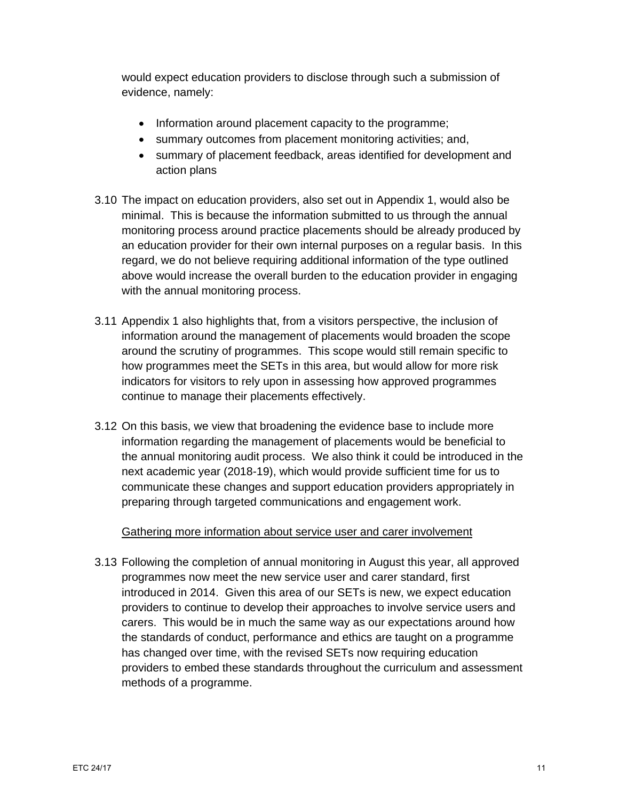would expect education providers to disclose through such a submission of evidence, namely:

- Information around placement capacity to the programme;
- summary outcomes from placement monitoring activities; and,
- summary of placement feedback, areas identified for development and action plans
- 3.10 The impact on education providers, also set out in Appendix 1, would also be minimal. This is because the information submitted to us through the annual monitoring process around practice placements should be already produced by an education provider for their own internal purposes on a regular basis. In this regard, we do not believe requiring additional information of the type outlined above would increase the overall burden to the education provider in engaging with the annual monitoring process.
- 3.11 Appendix 1 also highlights that, from a visitors perspective, the inclusion of information around the management of placements would broaden the scope around the scrutiny of programmes. This scope would still remain specific to how programmes meet the SETs in this area, but would allow for more risk indicators for visitors to rely upon in assessing how approved programmes continue to manage their placements effectively.
- 3.12 On this basis, we view that broadening the evidence base to include more information regarding the management of placements would be beneficial to the annual monitoring audit process. We also think it could be introduced in the next academic year (2018-19), which would provide sufficient time for us to communicate these changes and support education providers appropriately in preparing through targeted communications and engagement work.

## Gathering more information about service user and carer involvement

3.13 Following the completion of annual monitoring in August this year, all approved programmes now meet the new service user and carer standard, first introduced in 2014. Given this area of our SETs is new, we expect education providers to continue to develop their approaches to involve service users and carers. This would be in much the same way as our expectations around how the standards of conduct, performance and ethics are taught on a programme has changed over time, with the revised SETs now requiring education providers to embed these standards throughout the curriculum and assessment methods of a programme.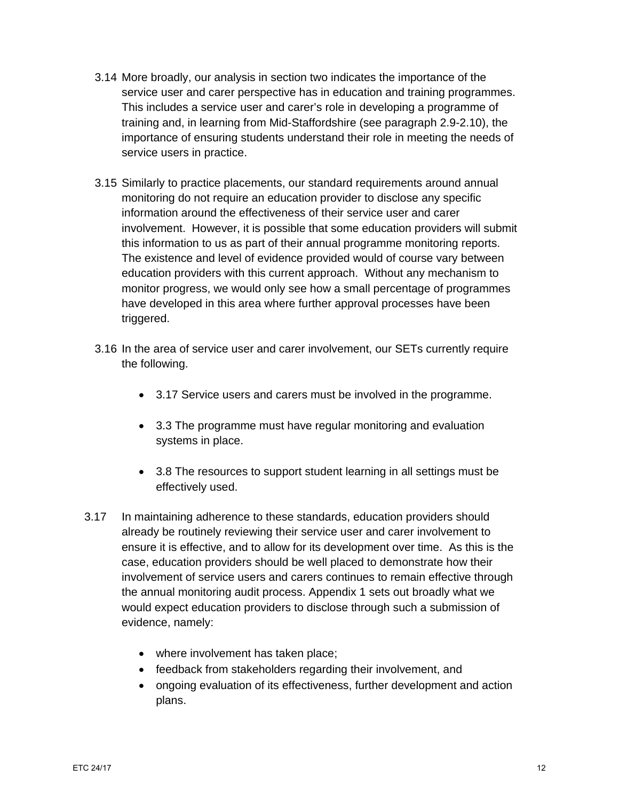- 3.14 More broadly, our analysis in section two indicates the importance of the service user and carer perspective has in education and training programmes. This includes a service user and carer's role in developing a programme of training and, in learning from Mid-Staffordshire (see paragraph 2.9-2.10), the importance of ensuring students understand their role in meeting the needs of service users in practice.
- 3.15 Similarly to practice placements, our standard requirements around annual monitoring do not require an education provider to disclose any specific information around the effectiveness of their service user and carer involvement. However, it is possible that some education providers will submit this information to us as part of their annual programme monitoring reports. The existence and level of evidence provided would of course vary between education providers with this current approach. Without any mechanism to monitor progress, we would only see how a small percentage of programmes have developed in this area where further approval processes have been triggered.
- 3.16 In the area of service user and carer involvement, our SETs currently require the following.
	- 3.17 Service users and carers must be involved in the programme.
	- 3.3 The programme must have regular monitoring and evaluation systems in place.
	- 3.8 The resources to support student learning in all settings must be effectively used.
- 3.17 In maintaining adherence to these standards, education providers should already be routinely reviewing their service user and carer involvement to ensure it is effective, and to allow for its development over time. As this is the case, education providers should be well placed to demonstrate how their involvement of service users and carers continues to remain effective through the annual monitoring audit process. Appendix 1 sets out broadly what we would expect education providers to disclose through such a submission of evidence, namely:
	- where involvement has taken place;
	- feedback from stakeholders regarding their involvement, and
	- ongoing evaluation of its effectiveness, further development and action plans.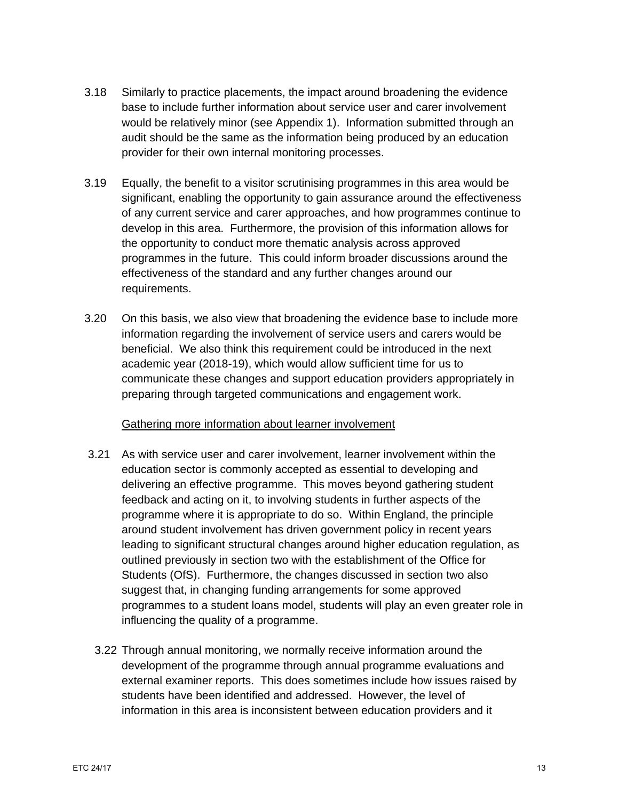- 3.18 Similarly to practice placements, the impact around broadening the evidence base to include further information about service user and carer involvement would be relatively minor (see Appendix 1). Information submitted through an audit should be the same as the information being produced by an education provider for their own internal monitoring processes.
- 3.19 Equally, the benefit to a visitor scrutinising programmes in this area would be significant, enabling the opportunity to gain assurance around the effectiveness of any current service and carer approaches, and how programmes continue to develop in this area. Furthermore, the provision of this information allows for the opportunity to conduct more thematic analysis across approved programmes in the future. This could inform broader discussions around the effectiveness of the standard and any further changes around our requirements.
- 3.20 On this basis, we also view that broadening the evidence base to include more information regarding the involvement of service users and carers would be beneficial. We also think this requirement could be introduced in the next academic year (2018-19), which would allow sufficient time for us to communicate these changes and support education providers appropriately in preparing through targeted communications and engagement work.

### Gathering more information about learner involvement

- 3.21 As with service user and carer involvement, learner involvement within the education sector is commonly accepted as essential to developing and delivering an effective programme. This moves beyond gathering student feedback and acting on it, to involving students in further aspects of the programme where it is appropriate to do so. Within England, the principle around student involvement has driven government policy in recent years leading to significant structural changes around higher education regulation, as outlined previously in section two with the establishment of the Office for Students (OfS). Furthermore, the changes discussed in section two also suggest that, in changing funding arrangements for some approved programmes to a student loans model, students will play an even greater role in influencing the quality of a programme.
	- 3.22 Through annual monitoring, we normally receive information around the development of the programme through annual programme evaluations and external examiner reports. This does sometimes include how issues raised by students have been identified and addressed. However, the level of information in this area is inconsistent between education providers and it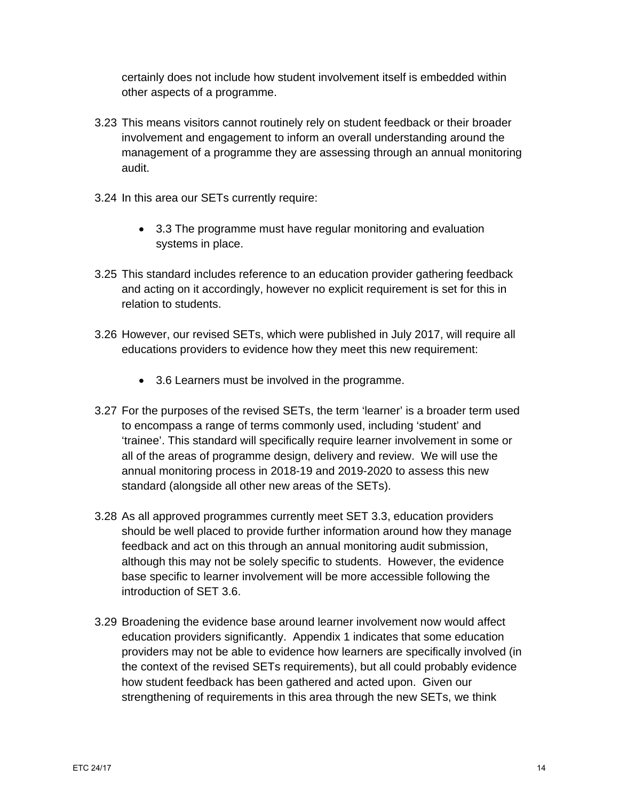certainly does not include how student involvement itself is embedded within other aspects of a programme.

- 3.23 This means visitors cannot routinely rely on student feedback or their broader involvement and engagement to inform an overall understanding around the management of a programme they are assessing through an annual monitoring audit.
- 3.24 In this area our SETs currently require:
	- 3.3 The programme must have regular monitoring and evaluation systems in place.
- 3.25 This standard includes reference to an education provider gathering feedback and acting on it accordingly, however no explicit requirement is set for this in relation to students.
- 3.26 However, our revised SETs, which were published in July 2017, will require all educations providers to evidence how they meet this new requirement:
	- 3.6 Learners must be involved in the programme.
- 3.27 For the purposes of the revised SETs, the term 'learner' is a broader term used to encompass a range of terms commonly used, including 'student' and 'trainee'. This standard will specifically require learner involvement in some or all of the areas of programme design, delivery and review. We will use the annual monitoring process in 2018-19 and 2019-2020 to assess this new standard (alongside all other new areas of the SETs).
- 3.28 As all approved programmes currently meet SET 3.3, education providers should be well placed to provide further information around how they manage feedback and act on this through an annual monitoring audit submission, although this may not be solely specific to students. However, the evidence base specific to learner involvement will be more accessible following the introduction of SET 3.6.
- 3.29 Broadening the evidence base around learner involvement now would affect education providers significantly. Appendix 1 indicates that some education providers may not be able to evidence how learners are specifically involved (in the context of the revised SETs requirements), but all could probably evidence how student feedback has been gathered and acted upon. Given our strengthening of requirements in this area through the new SETs, we think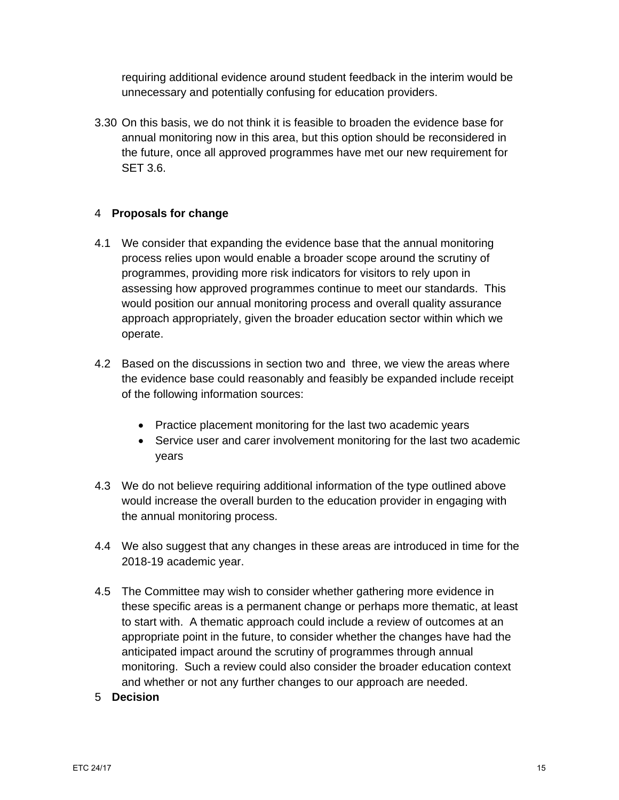requiring additional evidence around student feedback in the interim would be unnecessary and potentially confusing for education providers.

3.30 On this basis, we do not think it is feasible to broaden the evidence base for annual monitoring now in this area, but this option should be reconsidered in the future, once all approved programmes have met our new requirement for SET 3.6.

## 4 **Proposals for change**

- 4.1 We consider that expanding the evidence base that the annual monitoring process relies upon would enable a broader scope around the scrutiny of programmes, providing more risk indicators for visitors to rely upon in assessing how approved programmes continue to meet our standards. This would position our annual monitoring process and overall quality assurance approach appropriately, given the broader education sector within which we operate.
- 4.2 Based on the discussions in section two and three, we view the areas where the evidence base could reasonably and feasibly be expanded include receipt of the following information sources:
	- Practice placement monitoring for the last two academic years
	- Service user and carer involvement monitoring for the last two academic years
- 4.3 We do not believe requiring additional information of the type outlined above would increase the overall burden to the education provider in engaging with the annual monitoring process.
- 4.4 We also suggest that any changes in these areas are introduced in time for the 2018-19 academic year.
- 4.5 The Committee may wish to consider whether gathering more evidence in these specific areas is a permanent change or perhaps more thematic, at least to start with. A thematic approach could include a review of outcomes at an appropriate point in the future, to consider whether the changes have had the anticipated impact around the scrutiny of programmes through annual monitoring. Such a review could also consider the broader education context and whether or not any further changes to our approach are needed.
- 5 **Decision**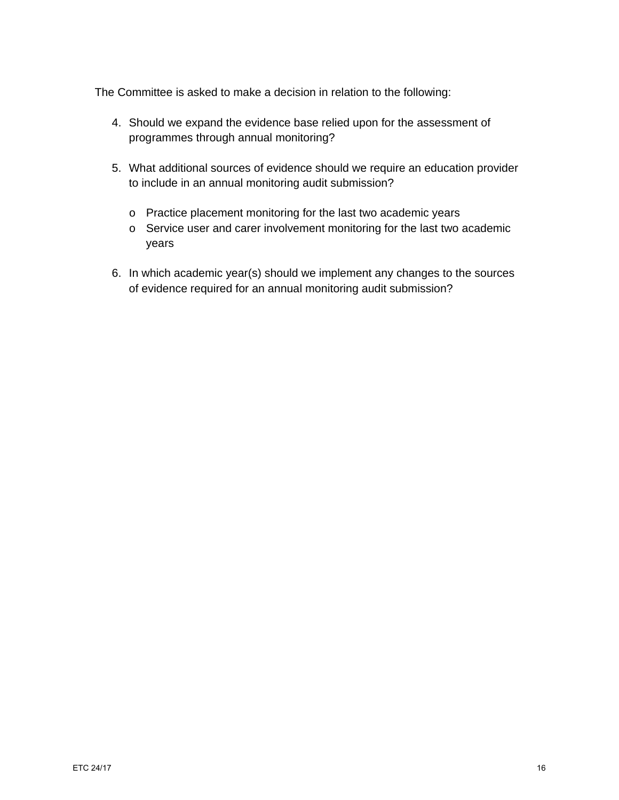The Committee is asked to make a decision in relation to the following:

- 4. Should we expand the evidence base relied upon for the assessment of programmes through annual monitoring?
- 5. What additional sources of evidence should we require an education provider to include in an annual monitoring audit submission?
	- o Practice placement monitoring for the last two academic years
	- o Service user and carer involvement monitoring for the last two academic years
- 6. In which academic year(s) should we implement any changes to the sources of evidence required for an annual monitoring audit submission?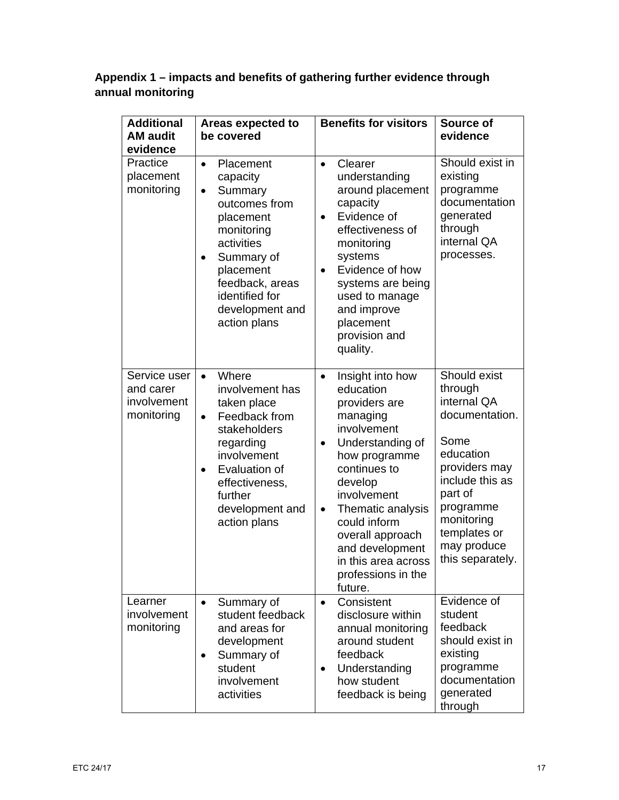**Appendix 1 – impacts and benefits of gathering further evidence through annual monitoring** 

| <b>Additional</b>                                      | Areas expected to                                                                                                                                                                                                       | <b>Benefits for visitors</b>                                                                                                                                                                                                                                                                                                        | Source of                                                                                                                                                                                                  |
|--------------------------------------------------------|-------------------------------------------------------------------------------------------------------------------------------------------------------------------------------------------------------------------------|-------------------------------------------------------------------------------------------------------------------------------------------------------------------------------------------------------------------------------------------------------------------------------------------------------------------------------------|------------------------------------------------------------------------------------------------------------------------------------------------------------------------------------------------------------|
| <b>AM</b> audit                                        | be covered                                                                                                                                                                                                              |                                                                                                                                                                                                                                                                                                                                     | evidence                                                                                                                                                                                                   |
| evidence                                               |                                                                                                                                                                                                                         |                                                                                                                                                                                                                                                                                                                                     |                                                                                                                                                                                                            |
| Practice<br>placement<br>monitoring                    | Placement<br>$\bullet$<br>capacity<br>Summary<br>$\bullet$<br>outcomes from<br>placement<br>monitoring<br>activities<br>Summary of<br>placement<br>feedback, areas<br>identified for<br>development and<br>action plans | Clearer<br>$\bullet$<br>understanding<br>around placement<br>capacity<br>Evidence of<br>$\bullet$<br>effectiveness of<br>monitoring<br>systems<br>Evidence of how<br>$\bullet$<br>systems are being<br>used to manage<br>and improve<br>placement<br>provision and<br>quality.                                                      | Should exist in<br>existing<br>programme<br>documentation<br>generated<br>through<br>internal QA<br>processes.                                                                                             |
| Service user<br>and carer<br>involvement<br>monitoring | Where<br>$\bullet$<br>involvement has<br>taken place<br>Feedback from<br>$\bullet$<br>stakeholders<br>regarding<br>involvement<br>Evaluation of<br>effectiveness,<br>further<br>development and<br>action plans         | Insight into how<br>$\bullet$<br>education<br>providers are<br>managing<br>involvement<br>Understanding of<br>$\bullet$<br>how programme<br>continues to<br>develop<br>involvement<br>Thematic analysis<br>$\bullet$<br>could inform<br>overall approach<br>and development<br>in this area across<br>professions in the<br>future. | Should exist<br>through<br>internal QA<br>documentation.<br>Some<br>education<br>providers may<br>include this as<br>part of<br>programme<br>monitoring<br>templates or<br>may produce<br>this separately. |
| Learner<br>involvement<br>monitoring                   | Summary of<br>$\bullet$<br>student feedback<br>and areas for<br>development<br>Summary of<br>student<br>involvement<br>activities                                                                                       | Consistent<br>$\bullet$<br>disclosure within<br>annual monitoring<br>around student<br>feedback<br>Understanding<br>$\bullet$<br>how student<br>feedback is being                                                                                                                                                                   | Evidence of<br>student<br>feedback<br>should exist in<br>existing<br>programme<br>documentation<br>generated<br>through                                                                                    |